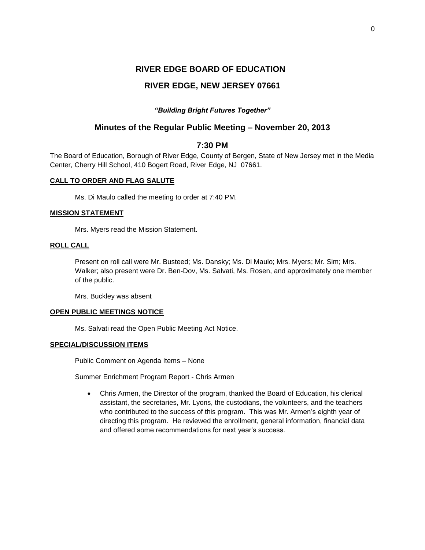# **RIVER EDGE BOARD OF EDUCATION**

# **RIVER EDGE, NEW JERSEY 07661**

# *"Building Bright Futures Together"*

# **Minutes of the Regular Public Meeting – November 20, 2013**

# **7:30 PM**

The Board of Education, Borough of River Edge, County of Bergen, State of New Jersey met in the Media Center, Cherry Hill School, 410 Bogert Road, River Edge, NJ 07661.

# **CALL TO ORDER AND FLAG SALUTE**

Ms. Di Maulo called the meeting to order at 7:40 PM.

# **MISSION STATEMENT**

Mrs. Myers read the Mission Statement.

# **ROLL CALL**

Present on roll call were Mr. Busteed; Ms. Dansky; Ms. Di Maulo; Mrs. Myers; Mr. Sim; Mrs. Walker; also present were Dr. Ben-Dov, Ms. Salvati, Ms. Rosen, and approximately one member of the public.

Mrs. Buckley was absent

# **OPEN PUBLIC MEETINGS NOTICE**

Ms. Salvati read the Open Public Meeting Act Notice.

# **SPECIAL/DISCUSSION ITEMS**

Public Comment on Agenda Items – None

Summer Enrichment Program Report - Chris Armen

 Chris Armen, the Director of the program, thanked the Board of Education, his clerical assistant, the secretaries, Mr. Lyons, the custodians, the volunteers, and the teachers who contributed to the success of this program. This was Mr. Armen's eighth year of directing this program. He reviewed the enrollment, general information, financial data and offered some recommendations for next year's success.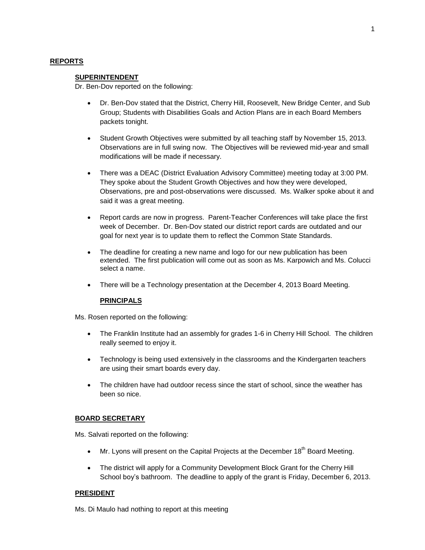# **REPORTS**

## **SUPERINTENDENT**

Dr. Ben-Dov reported on the following:

- Dr. Ben-Dov stated that the District, Cherry Hill, Roosevelt, New Bridge Center, and Sub Group; Students with Disabilities Goals and Action Plans are in each Board Members packets tonight.
- Student Growth Objectives were submitted by all teaching staff by November 15, 2013. Observations are in full swing now. The Objectives will be reviewed mid-year and small modifications will be made if necessary.
- There was a DEAC (District Evaluation Advisory Committee) meeting today at 3:00 PM. They spoke about the Student Growth Objectives and how they were developed, Observations, pre and post-observations were discussed. Ms. Walker spoke about it and said it was a great meeting.
- Report cards are now in progress. Parent-Teacher Conferences will take place the first week of December. Dr. Ben-Dov stated our district report cards are outdated and our goal for next year is to update them to reflect the Common State Standards.
- The deadline for creating a new name and logo for our new publication has been extended. The first publication will come out as soon as Ms. Karpowich and Ms. Colucci select a name.
- There will be a Technology presentation at the December 4, 2013 Board Meeting.

# **PRINCIPALS**

Ms. Rosen reported on the following:

- The Franklin Institute had an assembly for grades 1-6 in Cherry Hill School. The children really seemed to enjoy it.
- Technology is being used extensively in the classrooms and the Kindergarten teachers are using their smart boards every day.
- The children have had outdoor recess since the start of school, since the weather has been so nice.

# **BOARD SECRETARY**

Ms. Salvati reported on the following:

- $\bullet$  Mr. Lyons will present on the Capital Projects at the December 18<sup>th</sup> Board Meeting.
- The district will apply for a Community Development Block Grant for the Cherry Hill School boy's bathroom. The deadline to apply of the grant is Friday, December 6, 2013.

#### **PRESIDENT**

Ms. Di Maulo had nothing to report at this meeting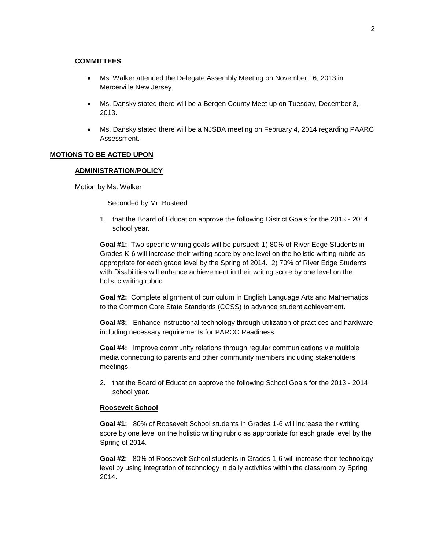# **COMMITTEES**

- Ms. Walker attended the Delegate Assembly Meeting on November 16, 2013 in Mercerville New Jersey.
- Ms. Dansky stated there will be a Bergen County Meet up on Tuesday, December 3, 2013.
- Ms. Dansky stated there will be a NJSBA meeting on February 4, 2014 regarding PAARC Assessment.

#### **MOTIONS TO BE ACTED UPON**

### **ADMINISTRATION/POLICY**

Motion by Ms. Walker

Seconded by Mr. Busteed

1. that the Board of Education approve the following District Goals for the 2013 - 2014 school year.

**Goal #1:** Two specific writing goals will be pursued: 1) 80% of River Edge Students in Grades K-6 will increase their writing score by one level on the holistic writing rubric as appropriate for each grade level by the Spring of 2014. 2) 70% of River Edge Students with Disabilities will enhance achievement in their writing score by one level on the holistic writing rubric.

**Goal #2:** Complete alignment of curriculum in English Language Arts and Mathematics to the Common Core State Standards (CCSS) to advance student achievement.

**Goal #3:** Enhance instructional technology through utilization of practices and hardware including necessary requirements for PARCC Readiness.

**Goal #4:** Improve community relations through regular communications via multiple media connecting to parents and other community members including stakeholders' meetings.

2. that the Board of Education approve the following School Goals for the 2013 - 2014 school year.

# **Roosevelt School**

**Goal #1:** 80% of Roosevelt School students in Grades 1-6 will increase their writing score by one level on the holistic writing rubric as appropriate for each grade level by the Spring of 2014.

**Goal #2**: 80% of Roosevelt School students in Grades 1-6 will increase their technology level by using integration of technology in daily activities within the classroom by Spring 2014.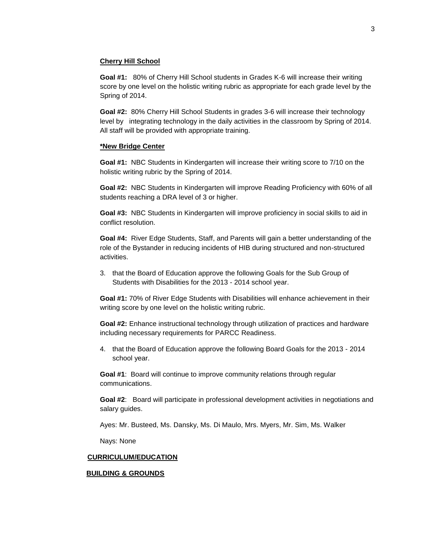# **Cherry Hill School**

**Goal #1:** 80% of Cherry Hill School students in Grades K-6 will increase their writing score by one level on the holistic writing rubric as appropriate for each grade level by the Spring of 2014.

**Goal #2:** 80% Cherry Hill School Students in grades 3-6 will increase their technology level by integrating technology in the daily activities in the classroom by Spring of 2014. All staff will be provided with appropriate training.

#### **\*New Bridge Center**

**Goal #1:** NBC Students in Kindergarten will increase their writing score to 7/10 on the holistic writing rubric by the Spring of 2014.

**Goal #2:** NBC Students in Kindergarten will improve Reading Proficiency with 60% of all students reaching a DRA level of 3 or higher.

**Goal #3:** NBC Students in Kindergarten will improve proficiency in social skills to aid in conflict resolution.

**Goal #4:** River Edge Students, Staff, and Parents will gain a better understanding of the role of the Bystander in reducing incidents of HIB during structured and non-structured activities.

3. that the Board of Education approve the following Goals for the Sub Group of Students with Disabilities for the 2013 - 2014 school year.

**Goal #1:** 70% of River Edge Students with Disabilities will enhance achievement in their writing score by one level on the holistic writing rubric.

**Goal #2:** Enhance instructional technology through utilization of practices and hardware including necessary requirements for PARCC Readiness.

4. that the Board of Education approve the following Board Goals for the 2013 - 2014 school year.

**Goal #1**: Board will continue to improve community relations through regular communications.

**Goal #2**: Board will participate in professional development activities in negotiations and salary guides.

Ayes: Mr. Busteed, Ms. Dansky, Ms. Di Maulo, Mrs. Myers, Mr. Sim, Ms. Walker

Nays: None

#### **CURRICULUM/EDUCATION**

## **BUILDING & GROUNDS**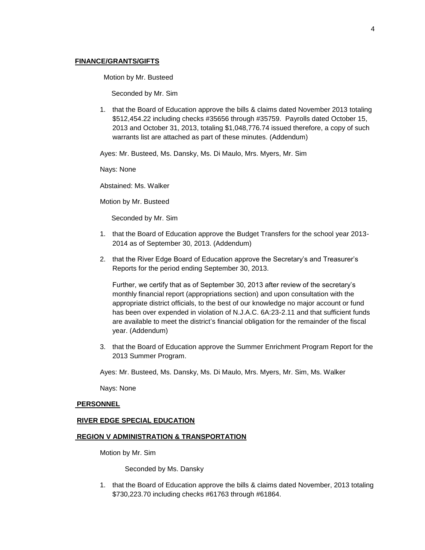### **FINANCE/GRANTS/GIFTS**

Motion by Mr. Busteed

Seconded by Mr. Sim

1. that the Board of Education approve the bills & claims dated November 2013 totaling \$512,454.22 including checks #35656 through #35759. Payrolls dated October 15, 2013 and October 31, 2013, totaling \$1,048,776.74 issued therefore, a copy of such warrants list are attached as part of these minutes. (Addendum)

Ayes: Mr. Busteed, Ms. Dansky, Ms. Di Maulo, Mrs. Myers, Mr. Sim

Nays: None

Abstained: Ms. Walker

Motion by Mr. Busteed

Seconded by Mr. Sim

- 1. that the Board of Education approve the Budget Transfers for the school year 2013- 2014 as of September 30, 2013. (Addendum)
- 2. that the River Edge Board of Education approve the Secretary's and Treasurer's Reports for the period ending September 30, 2013.

Further, we certify that as of September 30, 2013 after review of the secretary's monthly financial report (appropriations section) and upon consultation with the appropriate district officials, to the best of our knowledge no major account or fund has been over expended in violation of N.J.A.C. 6A:23-2.11 and that sufficient funds are available to meet the district's financial obligation for the remainder of the fiscal year. (Addendum)

3. that the Board of Education approve the Summer Enrichment Program Report for the 2013 Summer Program.

Ayes: Mr. Busteed, Ms. Dansky, Ms. Di Maulo, Mrs. Myers, Mr. Sim, Ms. Walker

Nays: None

#### **PERSONNEL**

#### **RIVER EDGE SPECIAL EDUCATION**

## **REGION V ADMINISTRATION & TRANSPORTATION**

Motion by Mr. Sim

Seconded by Ms. Dansky

1. that the Board of Education approve the bills & claims dated November, 2013 totaling \$730,223.70 including checks #61763 through #61864.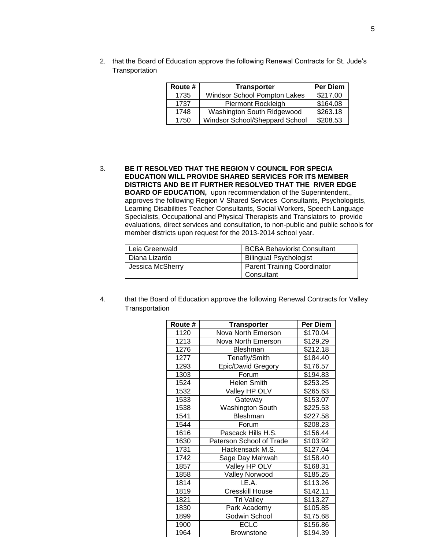2. that the Board of Education approve the following Renewal Contracts for St. Jude's **Transportation** 

| Route # | <b>Transporter</b>             | Per Diem |
|---------|--------------------------------|----------|
| 1735    | Windsor School Pompton Lakes   | \$217.00 |
| 1737    | Piermont Rockleigh             | \$164.08 |
| 1748    | Washington South Ridgewood     | \$263.18 |
| 1750    | Windsor School/Sheppard School | \$208.53 |

3. **BE IT RESOLVED THAT THE REGION V COUNCIL FOR SPECIA EDUCATION WILL PROVIDE SHARED SERVICES FOR ITS MEMBER DISTRICTS AND BE IT FURTHER RESOLVED THAT THE RIVER EDGE BOARD OF EDUCATION,** upon recommendation of the Superintendent,, approves the following Region V Shared Services Consultants, Psychologists, Learning Disabilities Teacher Consultants, Social Workers, Speech Language Specialists, Occupational and Physical Therapists and Translators to provide evaluations, direct services and consultation, to non-public and public schools for member districts upon request for the 2013-2014 school year.

| Leia Greenwald                                         | <b>BCBA Behaviorist Consultant</b> |
|--------------------------------------------------------|------------------------------------|
| Diana Lizardo                                          | <b>Bilingual Psychologist</b>      |
| Jessica McSherry<br><b>Parent Training Coordinator</b> |                                    |
|                                                        | Consultant                         |

4. that the Board of Education approve the following Renewal Contracts for Valley **Transportation** 

| Route # | <b>Transporter</b>       | Per Diem |
|---------|--------------------------|----------|
| 1120    | Nova North Emerson       | \$170.04 |
| 1213    | Nova North Emerson       | \$129.29 |
| 1276    | Bleshman                 | \$212.18 |
| 1277    | Tenafly/Smith            | \$184.40 |
| 1293    | Epic/David Gregory       | \$176.57 |
| 1303    | Forum                    | \$194.83 |
| 1524    | Helen Smith              | \$253.25 |
| 1532    | Valley HP OLV            | \$265.63 |
| 1533    | Gateway                  | \$153.07 |
| 1538    | Washington South         | \$225.53 |
| 1541    | Bleshman                 | \$227.58 |
| 1544    | Forum                    | \$208.23 |
| 1616    | Pascack Hills H.S.       | \$156.44 |
| 1630    | Paterson School of Trade | \$103.92 |
| 1731    | Hackensack M.S.          | \$127.04 |
| 1742    | Sage Day Mahwah          | \$158.40 |
| 1857    | Valley HP OLV            | \$168.31 |
| 1858    | <b>Valley Norwood</b>    | \$185.25 |
| 1814    | I.E.A.                   | \$113.26 |
| 1819    | Cresskill House          | \$142.11 |
| 1821    | Tri Valley               | \$113.27 |
| 1830    | Park Academy             | \$105.85 |
| 1899    | Godwin School            | \$175.68 |
| 1900    | ECLC                     | \$156.86 |
| 1964    | <b>Brownstone</b>        | \$194.39 |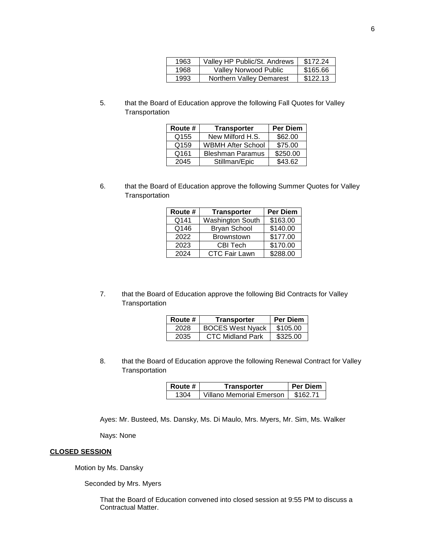| 1963 | Valley HP Public/St. Andrews | \$172.24 |
|------|------------------------------|----------|
| 1968 | <b>Valley Norwood Public</b> | \$165.66 |
| 1993 | Northern Valley Demarest     | \$122.13 |

5. that the Board of Education approve the following Fall Quotes for Valley **Transportation** 

| Route #          | <b>Transporter</b>       | <b>Per Diem</b> |
|------------------|--------------------------|-----------------|
| Q <sub>155</sub> | New Milford H.S.         | \$62.00         |
| Q159             | <b>WBMH After School</b> | \$75.00         |
| Q161             | <b>Bleshman Paramus</b>  | \$250.00        |
| 2045             | Stillman/Epic            | \$43.62         |

6. that the Board of Education approve the following Summer Quotes for Valley **Transportation** 

| Route # | <b>Transporter</b>      | <b>Per Diem</b> |
|---------|-------------------------|-----------------|
| Q141    | <b>Washington South</b> | \$163.00        |
| Q146    | <b>Bryan School</b>     | \$140.00        |
| 2022    | <b>Brownstown</b>       | \$177.00        |
| 2023    | <b>CBI Tech</b>         | \$170.00        |
| 2024    | <b>CTC Fair Lawn</b>    | \$288.00        |

7. that the Board of Education approve the following Bid Contracts for Valley **Transportation** 

| Route # | Transporter             | <b>Per Diem</b> |
|---------|-------------------------|-----------------|
| 2028    | <b>BOCES West Nyack</b> | \$105.00        |
| 2035    | <b>CTC Midland Park</b> | \$325.00        |

8. that the Board of Education approve the following Renewal Contract for Valley **Transportation** 

| Route # | <b>Transporter</b>              | l Per Diem |
|---------|---------------------------------|------------|
| 1304    | <b>Villano Memorial Emerson</b> | \$162.71   |

Ayes: Mr. Busteed, Ms. Dansky, Ms. Di Maulo, Mrs. Myers, Mr. Sim, Ms. Walker

Nays: None

# **CLOSED SESSION**

Motion by Ms. Dansky

Seconded by Mrs. Myers

That the Board of Education convened into closed session at 9:55 PM to discuss a Contractual Matter.